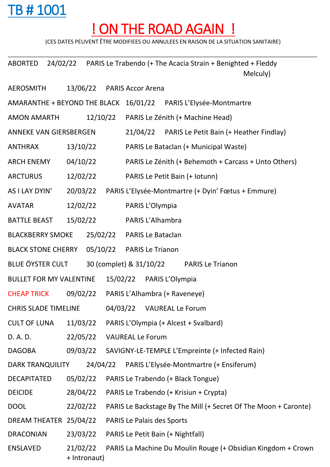## TB # 1001

## ! ON THE ROAD AGAIN !

(CES DATES PEUVENT ÊTRE MODIFIEES OU ANNULEES EN RAISON DE LA SITUATION SANITAIRE)

\_\_\_\_\_\_\_\_\_\_\_\_\_\_\_\_\_\_\_\_\_\_\_\_\_\_\_\_\_\_\_\_\_\_\_\_\_\_\_\_\_\_\_\_\_\_\_\_\_\_\_\_\_\_\_\_\_\_\_\_\_\_\_\_\_\_\_\_\_\_\_\_\_\_\_\_\_\_\_\_\_\_\_\_\_\_\_\_\_\_\_\_\_\_\_\_\_\_\_\_\_\_

ABORTED 24/02/22 PARIS Le Trabendo (+ The Acacia Strain + Benighted + Fleddy Melculy)

| AEROSMITH                      |                               |              |                         | 13/06/22 PARIS Accor Arena                         |                                                      |                                                                 |  |  |  |
|--------------------------------|-------------------------------|--------------|-------------------------|----------------------------------------------------|------------------------------------------------------|-----------------------------------------------------------------|--|--|--|
|                                |                               |              |                         |                                                    |                                                      | AMARANTHE + BEYOND THE BLACK 16/01/22 PARIS L'Elysée-Montmartre |  |  |  |
| <b>AMON AMARTH</b>             |                               |              |                         | 12/10/22 PARIS Le Zénith (+ Machine Head)          |                                                      |                                                                 |  |  |  |
|                                | <b>ANNEKE VAN GIERSBERGEN</b> |              |                         | 21/04/22 PARIS Le Petit Bain (+ Heather Findlay)   |                                                      |                                                                 |  |  |  |
| <b>ANTHRAX</b>                 | 13/10/22                      |              |                         |                                                    | PARIS Le Bataclan (+ Municipal Waste)                |                                                                 |  |  |  |
| <b>ARCH ENEMY</b>              | 04/10/22                      |              |                         |                                                    | PARIS Le Zénith (+ Behemoth + Carcass + Unto Others) |                                                                 |  |  |  |
| <b>ARCTURUS</b>                | 12/02/22                      |              |                         | PARIS Le Petit Bain (+ lotunn)                     |                                                      |                                                                 |  |  |  |
| AS I LAY DYIN'                 | 20/03/22                      |              |                         | PARIS L'Elysée-Montmartre (+ Dyin' Fœtus + Emmure) |                                                      |                                                                 |  |  |  |
| <b>AVATAR</b>                  | 12/02/22                      |              |                         | PARIS L'Olympia                                    |                                                      |                                                                 |  |  |  |
| <b>BATTLE BEAST</b>            | 15/02/22                      |              |                         | PARIS L'Alhambra                                   |                                                      |                                                                 |  |  |  |
| <b>BLACKBERRY SMOKE</b>        |                               |              |                         | 25/02/22 PARIS Le Bataclan                         |                                                      |                                                                 |  |  |  |
| <b>BLACK STONE CHERRY</b>      |                               |              |                         | 05/10/22 PARIS Le Trianon                          |                                                      |                                                                 |  |  |  |
| BLUE ÖYSTER CULT               |                               |              | 30 (complet) & 31/10/22 |                                                    | <b>PARIS Le Trianon</b>                              |                                                                 |  |  |  |
| <b>BULLET FOR MY VALENTINE</b> |                               |              |                         | 15/02/22 PARIS L'Olympia                           |                                                      |                                                                 |  |  |  |
| <b>CHEAP TRICK</b>             | 09/02/22                      |              |                         | PARIS L'Alhambra (+ Raveneye)                      |                                                      |                                                                 |  |  |  |
| <b>CHRIS SLADE TIMELINE</b>    |                               |              |                         | 04/03/22 VAUREAL Le Forum                          |                                                      |                                                                 |  |  |  |
| <b>CULT OF LUNA</b>            | 11/03/22                      |              |                         | PARIS L'Olympia (+ Alcest + Svalbard)              |                                                      |                                                                 |  |  |  |
| D. A. D.                       | 22/05/22                      |              |                         | <b>VAUREAL Le Forum</b>                            |                                                      |                                                                 |  |  |  |
| <b>DAGOBA</b>                  | 09/03/22                      |              |                         |                                                    |                                                      | SAVIGNY-LE-TEMPLE L'Empreinte (+ Infected Rain)                 |  |  |  |
| <b>DARK TRANQUILITY</b>        |                               | 24/04/22     |                         |                                                    |                                                      | PARIS L'Elysée-Montmartre (+ Ensiferum)                         |  |  |  |
| <b>DECAPITATED</b>             | 05/02/22                      |              |                         | PARIS Le Trabendo (+ Black Tongue)                 |                                                      |                                                                 |  |  |  |
| <b>DEICIDE</b>                 | 28/04/22                      |              |                         | PARIS Le Trabendo (+ Krisiun + Crypta)             |                                                      |                                                                 |  |  |  |
| <b>DOOL</b>                    | 22/02/22                      |              |                         |                                                    |                                                      | PARIS Le Backstage By The Mill (+ Secret Of The Moon + Caronte) |  |  |  |
| DREAM THEATER 25/04/22         |                               |              |                         | <b>PARIS Le Palais des Sports</b>                  |                                                      |                                                                 |  |  |  |
| <b>DRACONIAN</b>               | 23/03/22                      |              |                         | PARIS Le Petit Bain (+ Nightfall)                  |                                                      |                                                                 |  |  |  |
| <b>ENSLAVED</b>                | 21/02/22                      | + Intronaut) |                         |                                                    |                                                      | PARIS La Machine Du Moulin Rouge (+ Obsidian Kingdom + Crown    |  |  |  |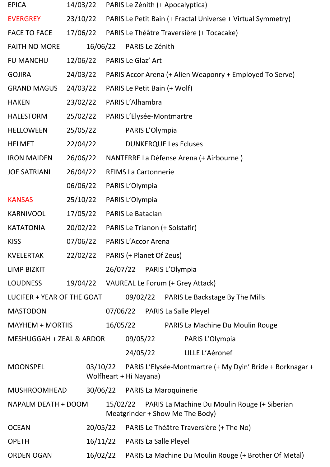| <b>EPICA</b>               | 14/03/22 |          |                                |                 | PARIS Le Zénith (+ Apocalyptica)                                                |                                                           |  |
|----------------------------|----------|----------|--------------------------------|-----------------|---------------------------------------------------------------------------------|-----------------------------------------------------------|--|
| <b>EVERGREY</b>            | 23/10/22 |          |                                |                 | PARIS Le Petit Bain (+ Fractal Universe + Virtual Symmetry)                     |                                                           |  |
| <b>FACE TO FACE</b>        | 17/06/22 |          |                                |                 | PARIS Le Théâtre Traversière (+ Tocacake)                                       |                                                           |  |
| <b>FAITH NO MORE</b>       |          | 16/06/22 | PARIS Le Zénith                |                 |                                                                                 |                                                           |  |
| <b>FU MANCHU</b>           | 12/06/22 |          | <b>PARIS Le Glaz' Art</b>      |                 |                                                                                 |                                                           |  |
| <b>GOJIRA</b>              | 24/03/22 |          |                                |                 | PARIS Accor Arena (+ Alien Weaponry + Employed To Serve)                        |                                                           |  |
| <b>GRAND MAGUS</b>         | 24/03/22 |          | PARIS Le Petit Bain (+ Wolf)   |                 |                                                                                 |                                                           |  |
| <b>HAKEN</b>               | 23/02/22 |          | PARIS L'Alhambra               |                 |                                                                                 |                                                           |  |
| <b>HALESTORM</b>           | 25/02/22 |          | PARIS L'Elysée-Montmartre      |                 |                                                                                 |                                                           |  |
| <b>HELLOWEEN</b>           | 25/05/22 |          | PARIS L'Olympia                |                 |                                                                                 |                                                           |  |
| <b>HELMET</b>              | 22/04/22 |          |                                |                 | <b>DUNKERQUE Les Ecluses</b>                                                    |                                                           |  |
| <b>IRON MAIDEN</b>         | 26/06/22 |          |                                |                 | NANTERRE La Défense Arena (+ Airbourne)                                         |                                                           |  |
| <b>JOE SATRIANI</b>        | 26/04/22 |          | <b>REIMS La Cartonnerie</b>    |                 |                                                                                 |                                                           |  |
|                            | 06/06/22 |          | PARIS L'Olympia                |                 |                                                                                 |                                                           |  |
| <b>KANSAS</b>              | 25/10/22 |          | PARIS L'Olympia                |                 |                                                                                 |                                                           |  |
| <b>KARNIVOOL</b>           | 17/05/22 |          | <b>PARIS Le Bataclan</b>       |                 |                                                                                 |                                                           |  |
| <b>KATATONIA</b>           | 20/02/22 |          | PARIS Le Trianon (+ Solstafir) |                 |                                                                                 |                                                           |  |
| <b>KISS</b>                | 07/06/22 |          | <b>PARIS L'Accor Arena</b>     |                 |                                                                                 |                                                           |  |
| <b>KVELERTAK</b>           | 22/02/22 |          | PARIS (+ Planet Of Zeus)       |                 |                                                                                 |                                                           |  |
| <b>LIMP BIZKIT</b>         |          |          | 26/07/22 PARIS L'Olympia       |                 |                                                                                 |                                                           |  |
| <b>LOUDNESS</b>            | 19/04/22 |          |                                |                 | VAUREAL Le Forum (+ Grey Attack)                                                |                                                           |  |
| LUCIFER + YEAR OF THE GOAT |          |          |                                |                 | 09/02/22 PARIS Le Backstage By The Mills                                        |                                                           |  |
| <b>MASTODON</b>            |          |          |                                |                 | 07/06/22 PARIS La Salle Pleyel                                                  |                                                           |  |
| MAYHEM + MORTIIS           |          |          | 16/05/22                       |                 | PARIS La Machine Du Moulin Rouge                                                |                                                           |  |
| MESHUGGAH + ZEAL & ARDOR   |          | 09/05/22 |                                | PARIS L'Olympia |                                                                                 |                                                           |  |
|                            |          |          | 24/05/22                       |                 | LILLE L'Aéronef                                                                 |                                                           |  |
| <b>MOONSPEL</b>            |          | 03/10/22 | Wolfheart + Hi Nayana)         |                 |                                                                                 | PARIS L'Elysée-Montmartre (+ My Dyin' Bride + Borknagar + |  |
| <b>MUSHROOMHEAD</b>        |          | 30/06/22 | <b>PARIS La Maroquinerie</b>   |                 |                                                                                 |                                                           |  |
| NAPALM DEATH + DOOM        |          | 15/02/22 |                                |                 | PARIS La Machine Du Moulin Rouge (+ Siberian<br>Meatgrinder + Show Me The Body) |                                                           |  |
| <b>OCEAN</b>               |          | 20/05/22 |                                |                 | PARIS Le Théâtre Traversière (+ The No)                                         |                                                           |  |
| <b>OPETH</b>               |          | 16/11/22 | PARIS La Salle Pleyel          |                 |                                                                                 |                                                           |  |
| <b>ORDEN OGAN</b>          |          | 16/02/22 |                                |                 | PARIS La Machine Du Moulin Rouge (+ Brother Of Metal)                           |                                                           |  |